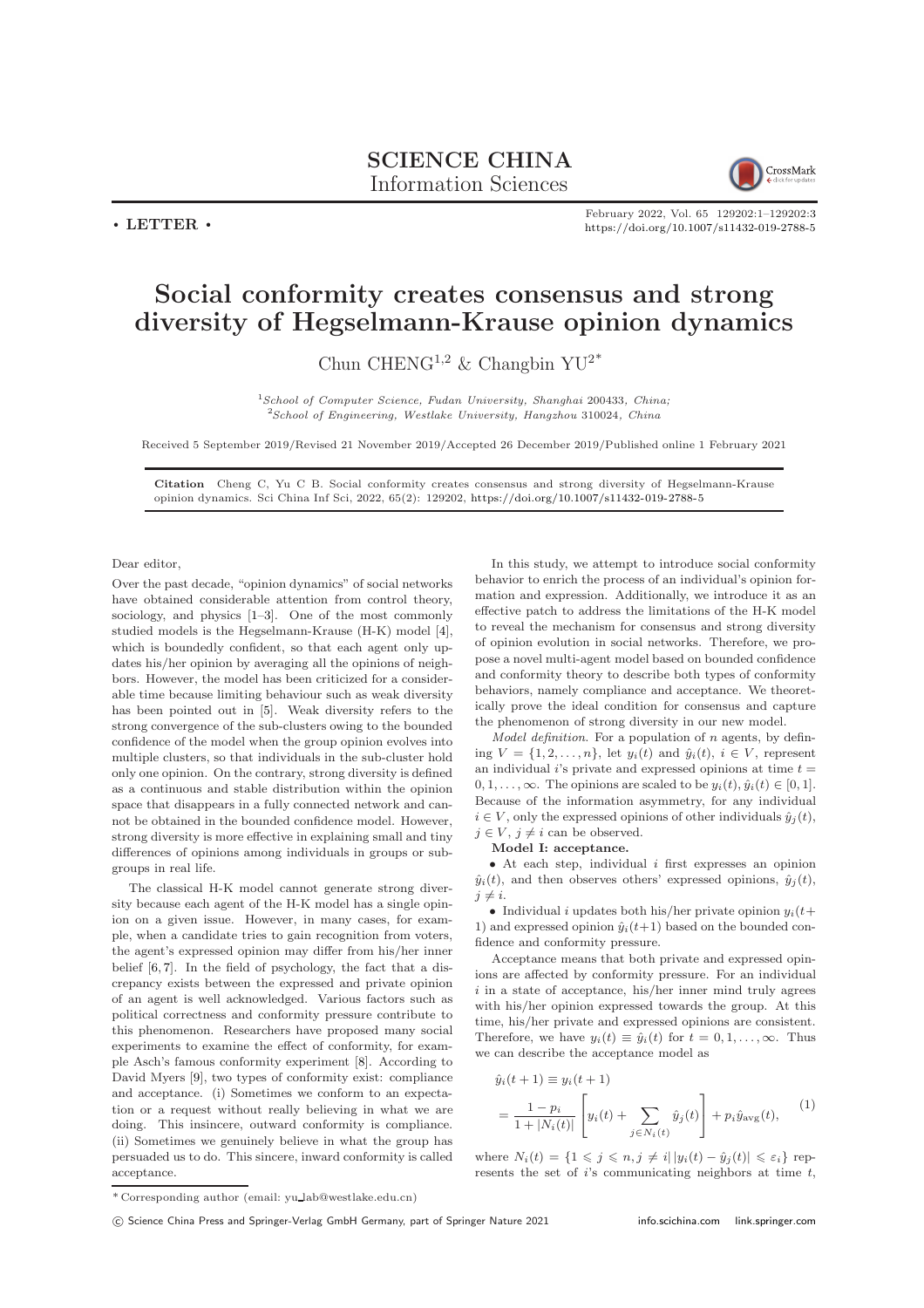## SCIENCE CHINA Information Sciences



 $\cdot$  LETTER  $\cdot$ 

February 2022, Vol. 65 129202:1–129202[:3](#page-2-0) <https://doi.org/10.1007/s11432-019-2788-5>

## Social conformity creates consensus and strong diversity of Hegselmann-Krause opinion dynamics

Chun CHENG<sup>1,2</sup> & Changbin YU<sup>2\*</sup>

 $1$ School of Computer Science, Fudan University, Shanghai 200433, China; <sup>2</sup>School of Engineering, Westlake University, Hangzhou 310024, China

Received 5 September 2019/Revised 21 November 2019/Accepted 26 December 2019/Published online 1 February 2021

Citation Cheng C, Yu C B. Social conformity creates consensus and strong diversity of Hegselmann-Krause opinion dynamics. Sci China Inf Sci, 2022, 65(2): 129202, <https://doi.org/10.1007/s11432-019-2788-5>

Dear editor,

Over the past decade, "opinion dynamics" of social networks have obtained considerable attention from control theory, sociology, and physics [\[1](#page-2-1)[–3\]](#page-2-2). One of the most commonly studied models is the Hegselmann-Krause (H-K) model [\[4\]](#page-2-3), which is boundedly confident, so that each agent only updates his/her opinion by averaging all the opinions of neighbors. However, the model has been criticized for a considerable time because limiting behaviour such as weak diversity has been pointed out in [\[5\]](#page-2-4). Weak diversity refers to the strong convergence of the sub-clusters owing to the bounded confidence of the model when the group opinion evolves into multiple clusters, so that individuals in the sub-cluster hold only one opinion. On the contrary, strong diversity is defined as a continuous and stable distribution within the opinion space that disappears in a fully connected network and cannot be obtained in the bounded confidence model. However, strong diversity is more effective in explaining small and tiny differences of opinions among individuals in groups or subgroups in real life.

The classical H-K model cannot generate strong diversity because each agent of the H-K model has a single opinion on a given issue. However, in many cases, for example, when a candidate tries to gain recognition from voters, the agent's expressed opinion may differ from his/her inner belief [\[6,](#page-2-5) [7\]](#page-2-6). In the field of psychology, the fact that a discrepancy exists between the expressed and private opinion of an agent is well acknowledged. Various factors such as political correctness and conformity pressure contribute to this phenomenon. Researchers have proposed many social experiments to examine the effect of conformity, for example Asch's famous conformity experiment [\[8\]](#page-2-7). According to David Myers [\[9\]](#page-2-8), two types of conformity exist: compliance and acceptance. (i) Sometimes we conform to an expectation or a request without really believing in what we are doing. This insincere, outward conformity is compliance. (ii) Sometimes we genuinely believe in what the group has persuaded us to do. This sincere, inward conformity is called acceptance.

In this study, we attempt to introduce social conformity behavior to enrich the process of an individual's opinion formation and expression. Additionally, we introduce it as an effective patch to address the limitations of the H-K model to reveal the mechanism for consensus and strong diversity of opinion evolution in social networks. Therefore, we propose a novel multi-agent model based on bounded confidence and conformity theory to describe both types of conformity behaviors, namely compliance and acceptance. We theoretically prove the ideal condition for consensus and capture the phenomenon of strong diversity in our new model.

*Model definition*. For a population of  $n$  agents, by defining  $V = \{1, 2, \ldots, n\}$ , let  $y_i(t)$  and  $\hat{y}_i(t)$ ,  $i \in V$ , represent an individual  $i$ 's private and expressed opinions at time  $t =$  $0, 1, \ldots, \infty$ . The opinions are scaled to be  $y_i(t), \hat{y}_i(t) \in [0, 1]$ . Because of the information asymmetry, for any individual  $i \in V$ , only the expressed opinions of other individuals  $\hat{y}_i(t)$ ,  $j \in V, j \neq i$  can be observed.

Model I: acceptance.

• At each step, individual  $i$  first expresses an opinion  $\hat{y}_i(t)$ , and then observes others' expressed opinions,  $\hat{y}_i(t)$ ,  $j \neq i$ .

• Individual i updates both his/her private opinion  $y_i(t+)$ 1) and expressed opinion  $\hat{y}_i(t+1)$  based on the bounded confidence and conformity pressure.

Acceptance means that both private and expressed opinions are affected by conformity pressure. For an individual  $i$  in a state of acceptance, his/her inner mind truly agrees with his/her opinion expressed towards the group. At this time, his/her private and expressed opinions are consistent. Therefore, we have  $y_i(t) \equiv \hat{y}_i(t)$  for  $t = 0, 1, \ldots, \infty$ . Thus we can describe the acceptance model as

$$
\hat{y}_i(t+1) \equiv y_i(t+1) \n= \frac{1-p_i}{1+|N_i(t)|} \left[ y_i(t) + \sum_{j \in N_i(t)} \hat{y}_j(t) \right] + p_i \hat{y}_{avg}(t),
$$
\n(1)

where  $N_i(t) = \{1 \leq j \leq n, j \neq i | y_i(t) - \hat{y}_j(t) | \leq \varepsilon_i\}$  represents the set of  $i$ 's communicating neighbors at time  $t$ ,

<sup>\*</sup> Corresponding author (email: yu lab@westlake.edu.cn)

c Science China Press and Springer-Verlag GmbH Germany, part of Springer Nature 2021 <info.scichina.com><link.springer.com>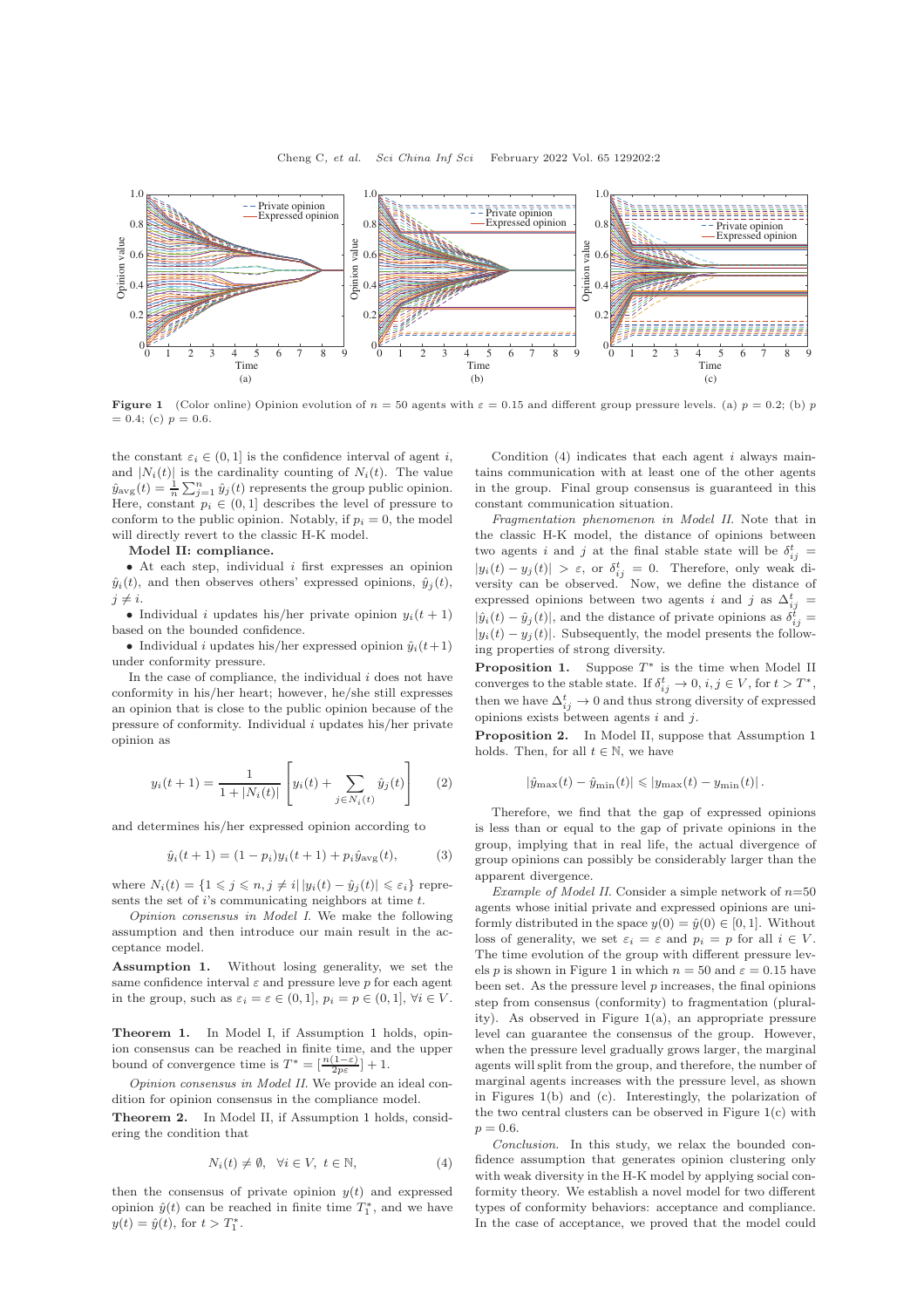<span id="page-1-1"></span>

**Figure 1** (Color online) Opinion evolution of  $n = 50$  agents with  $\varepsilon = 0.15$  and different group pressure levels. (a)  $p = 0.2$ ; (b) p  $= 0.4$ ; (c)  $p = 0.6$ .

the constant  $\varepsilon_i \in (0, 1]$  is the confidence interval of agent i, and  $|N_i(t)|$  is the cardinality counting of  $N_i(t)$ . The value  $\hat{y}_{\text{avg}}(t) = \frac{1}{n} \sum_{j=1}^{n} \hat{y}_j(t)$  represents the group public opinion. Here, constant  $p_i \in (0,1]$  describes the level of pressure to conform to the public opinion. Notably, if  $p_i = 0$ , the model will directly revert to the classic H-K model.

## Model II: compliance.

 $\bullet$  At each step, individual *i* first expresses an opinion  $\hat{y}_i(t)$ , and then observes others' expressed opinions,  $\hat{y}_i(t)$ ,  $j\neq i.$ 

• Individual *i* updates his/her private opinion  $y_i(t + 1)$ based on the bounded confidence.

• Individual *i* updates his/her expressed opinion  $\hat{y}_i(t+1)$ under conformity pressure.

In the case of compliance, the individual  $i$  does not have conformity in his/her heart; however, he/she still expresses an opinion that is close to the public opinion because of the pressure of conformity. Individual i updates his/her private opinion as

$$
y_i(t+1) = \frac{1}{1+|N_i(t)|} \left[ y_i(t) + \sum_{j \in N_i(t)} \hat{y}_j(t) \right]
$$
 (2)

and determines his/her expressed opinion according to

$$
\hat{y}_i(t+1) = (1 - p_i)y_i(t+1) + p_i\hat{y}_{\text{avg}}(t),\tag{3}
$$

where  $N_i(t) = \{1 \leq j \leq n, j \neq i | |y_i(t) - \hat{y}_j(t)| \leq \varepsilon_i \}$  represents the set of  $i$ 's communicating neighbors at time  $t$ .

Opinion consensus in Model I. We make the following assumption and then introduce our main result in the acceptance model.

<span id="page-1-0"></span>Assumption 1. Without losing generality, we set the same confidence interval  $\varepsilon$  and pressure leve p for each agent in the group, such as  $\varepsilon_i = \varepsilon \in (0, 1], p_i = p \in (0, 1], \forall i \in V$ .

Theorem 1. In Model I, if Assumption [1](#page-1-0) holds, opinion consensus can be reached in finite time, and the upper bound of convergence time is  $T^* = \left[\frac{n(1-\varepsilon)}{2p\varepsilon}\right] + 1$ .

Opinion consensus in Model II. We provide an ideal condition for opinion consensus in the compliance model.

Theorem 2. In Model II, if Assumption [1](#page-1-0) holds, considering the condition that

$$
N_i(t) \neq \emptyset, \quad \forall i \in V, \ t \in \mathbb{N}, \tag{4}
$$

then the consensus of private opinion  $y(t)$  and expressed opinion  $\hat{y}(t)$  can be reached in finite time  $T_1^*$ , and we have  $y(t) = \hat{y}(t)$ , for  $t > T_1^*$ .

Condition  $(4)$  indicates that each agent *i* always maintains communication with at least one of the other agents in the group. Final group consensus is guaranteed in this constant communication situation.

Fragmentation phenomenon in Model II. Note that in the classic H-K model, the distance of opinions between two agents *i* and *j* at the final stable state will be  $\delta_{ij}^t =$  $|y_i(t) - y_j(t)| > \varepsilon$ , or  $\delta_{ij}^t = 0$ . Therefore, only weak diversity can be observed. Now, we define the distance of expressed opinions between two agents i and j as  $\Delta_{ij}^t$  =  $|\hat{y}_i(t) - \hat{y}_j(t)|$ , and the distance of private opinions as  $\delta_{ij}^t =$  $|y_i(t) - y_j(t)|$ . Subsequently, the model presents the following properties of strong diversity.

**Proposition 1.** Suppose  $T^*$  is the time when Model II converges to the stable state. If  $\delta_{ij}^t \to 0$ ,  $i, j \in V$ , for  $t > T^*$ , then we have  $\Delta_{ij}^t \rightarrow 0$  and thus strong diversity of expressed opinions exists between agents  $i$  and  $j.$ 

Proposition 2. In Model II, suppose that Assumption [1](#page-1-0) holds. Then, for all  $t \in \mathbb{N}$ , we have

$$
|\hat{y}_{\max}(t) - \hat{y}_{\min}(t)| \leq |y_{\max}(t) - y_{\min}(t)|.
$$

Therefore, we find that the gap of expressed opinions is less than or equal to the gap of private opinions in the group, implying that in real life, the actual divergence of group opinions can possibly be considerably larger than the apparent divergence.

Example of Model II. Consider a simple network of  $n=50$ agents whose initial private and expressed opinions are uniformly distributed in the space  $y(0) = \hat{y}(0) \in [0, 1]$ . Without loss of generality, we set  $\varepsilon_i = \varepsilon$  and  $p_i = p$  for all  $i \in V$ . The time evolution of the group with different pressure lev-els p is shown in Figure [1](#page-1-1) in which  $n = 50$  and  $\varepsilon = 0.15$  have been set. As the pressure level  $p$  increases, the final opinions step from consensus (conformity) to fragmentation (plurality). As observed in Figure [1\(](#page-1-1)a), an appropriate pressure level can guarantee the consensus of the group. However, when the pressure level gradually grows larger, the marginal agents will split from the group, and therefore, the number of marginal agents increases with the pressure level, as shown in Figures [1\(](#page-1-1)b) and (c). Interestingly, the polarization of the two central clusters can be observed in Figure  $1(c)$  $1(c)$  with  $p = 0.6$ .

Conclusion. In this study, we relax the bounded confidence assumption that generates opinion clustering only with weak diversity in the H-K model by applying social conformity theory. We establish a novel model for two different types of conformity behaviors: acceptance and compliance. In the case of acceptance, we proved that the model could